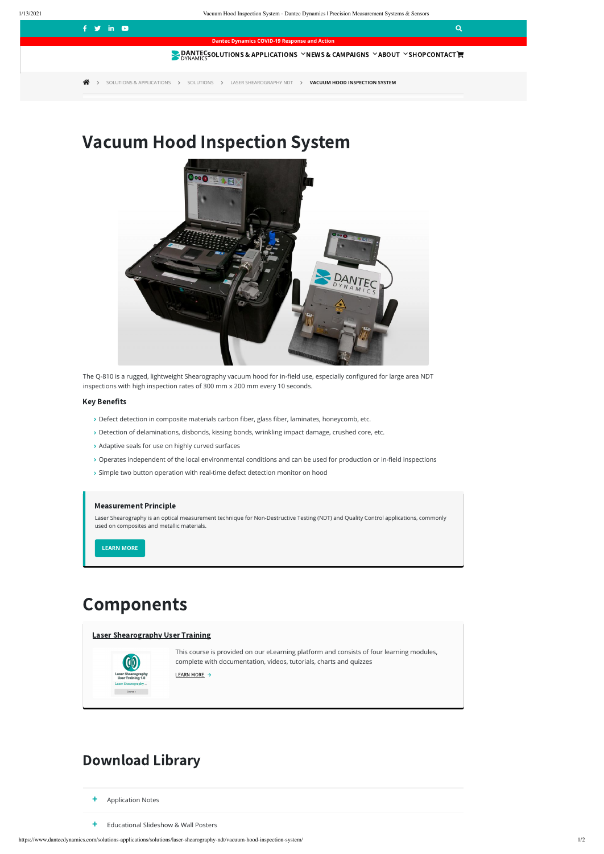## $\mathbf{f}$  is the contract of the contract of the contract of the contract of the contract of  $\mathbf{Q}$

https://www.dantecdynamics.com/solutions-applications/solutions/laser-shearography-ndt/vacuum-hood-inspection-system/ 1/2

# Components

## Download Library

**+** Application Notes

**+** Educational Slideshow & Wall Posters

The Q-810 is a rugged, lightweight Shearography vacuum hood for in-field use, especially configured for large area NDT inspections with high inspection rates of 300 mm x 200 mm every 10 seconds.

### **Key Benefits**

- $\rightarrow$  Defect detection in composite materials carbon fiber, glass fiber, laminates, honeycomb, etc.
- > Detection of delaminations, disbonds, kissing bonds, wrinkling impact damage, crushed core, etc.
- Adaptive seals for use on highly curved surfaces
- > Operates independent of the local environmental conditions and can be used for production or in-field inspections
- > Simple two button operation with real-time defect detection monitor on hood

**Dantec Dynamics COVID-19 Response and Action**

**SOLUTIONS & [APPLICATIONS](https://www.dantecdynamics.com/solutions-applications/) VIEWS & CAMPAIGNS V[ABOUT](https://www.dantecdynamics.com/about/) V[SHOP](https://www.dantecdynamics.com/shop/)[CONTACT](https://www.dantecdynamics.com/contact/)E** 

**SOLUTIONS & [APPLICATIONS](https://www.dantecdynamics.com/solutions-applications/) > [SOLUTIONS](https://www.dantecdynamics.com/solutions-applications/solutions/) > LASER [SHEAROGRAPHY](https://www.dantecdynamics.com/solutions-applications/solutions/laser-shearography-ndt/) NDT > VACUUM HOOD INSPECTION SYSTEM** 

# Vacuum Hood Inspection System



#### Measurement Principle

Laser Shearography is an optical measurement technique for Non-Destructive Testing (NDT) and Quality Control applications, commonly used on composites and metallic materials.

**[LEARN](https://www.dantecdynamics.com/solutions-applications/solutions/laser-shearography-ndt/measurement-principles-of-shearography/) MORE**

Laser [Shearography](https://www.dantecdynamics.com/components/laser-shearography-user-training/?sourceid=1175) User Training



This course is provided on our eLearning platform and consists of four learning modules, complete with documentation, videos, tutorials, charts and quizzes

| LEARN MORE |  |
|------------|--|
|            |  |